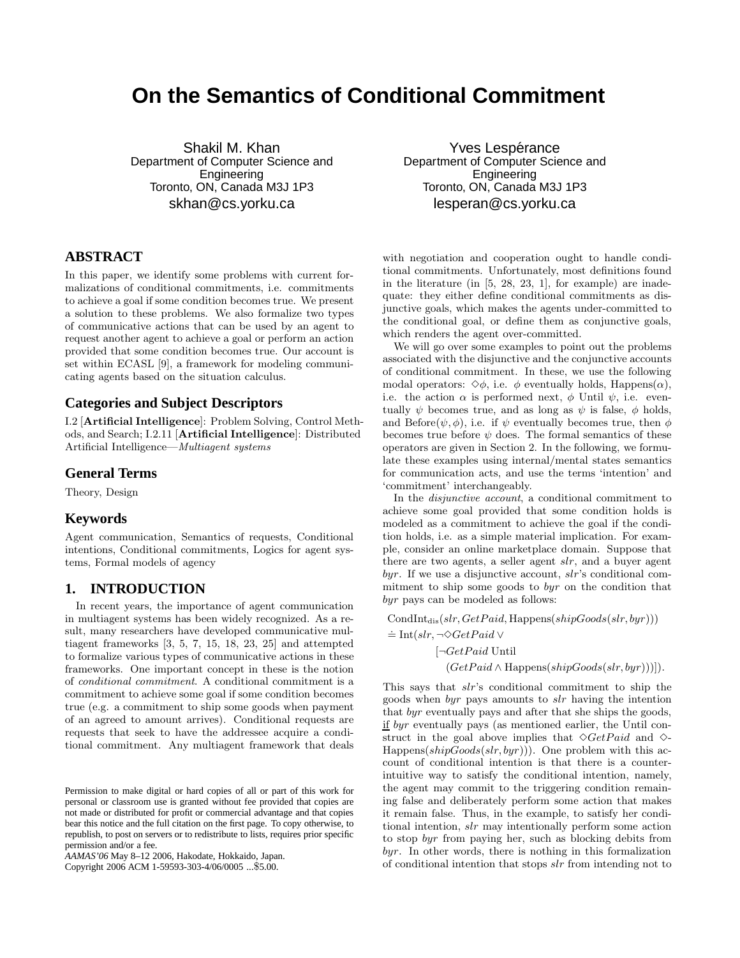# **On the Semantics of Conditional Commitment**

Shakil M. Khan Department of Computer Science and Engineering Toronto, ON, Canada M3J 1P3 skhan@cs.yorku.ca

# **ABSTRACT**

In this paper, we identify some problems with current formalizations of conditional commitments, i.e. commitments to achieve a goal if some condition becomes true. We present a solution to these problems. We also formalize two types of communicative actions that can be used by an agent to request another agent to achieve a goal or perform an action provided that some condition becomes true. Our account is set within ECASL [9], a framework for modeling communicating agents based on the situation calculus.

#### **Categories and Subject Descriptors**

I.2 [Artificial Intelligence]: Problem Solving, Control Methods, and Search; I.2.11 [Artificial Intelligence]: Distributed Artificial Intelligence—Multiagent systems

### **General Terms**

Theory, Design

# **Keywords**

Agent communication, Semantics of requests, Conditional intentions, Conditional commitments, Logics for agent systems, Formal models of agency

# **1. INTRODUCTION**

In recent years, the importance of agent communication in multiagent systems has been widely recognized. As a result, many researchers have developed communicative multiagent frameworks [3, 5, 7, 15, 18, 23, 25] and attempted to formalize various types of communicative actions in these frameworks. One important concept in these is the notion of conditional commitment. A conditional commitment is a commitment to achieve some goal if some condition becomes true (e.g. a commitment to ship some goods when payment of an agreed to amount arrives). Conditional requests are requests that seek to have the addressee acquire a conditional commitment. Any multiagent framework that deals

Copyright 2006 ACM 1-59593-303-4/06/0005 ...\$5.00.

**Yves Lespérance** Department of Computer Science and Engineering Toronto, ON, Canada M3J 1P3 lesperan@cs.yorku.ca

with negotiation and cooperation ought to handle conditional commitments. Unfortunately, most definitions found in the literature (in [5, 28, 23, 1], for example) are inadequate: they either define conditional commitments as disjunctive goals, which makes the agents under-committed to the conditional goal, or define them as conjunctive goals, which renders the agent over-committed.

We will go over some examples to point out the problems associated with the disjunctive and the conjunctive accounts of conditional commitment. In these, we use the following modal operators:  $\diamond \phi$ , i.e.  $\phi$  eventually holds, Happens $(\alpha)$ , i.e. the action  $\alpha$  is performed next,  $\phi$  Until  $\psi$ , i.e. eventually  $\psi$  becomes true, and as long as  $\psi$  is false,  $\phi$  holds, and Before( $\psi, \phi$ ), i.e. if  $\psi$  eventually becomes true, then  $\phi$ becomes true before  $\psi$  does. The formal semantics of these operators are given in Section 2. In the following, we formulate these examples using internal/mental states semantics for communication acts, and use the terms 'intention' and 'commitment' interchangeably.

In the disjunctive account, a conditional commitment to achieve some goal provided that some condition holds is modeled as a commitment to achieve the goal if the condition holds, i.e. as a simple material implication. For example, consider an online marketplace domain. Suppose that there are two agents, a seller agent slr, and a buyer agent byr. If we use a disjunctive account, slr's conditional commitment to ship some goods to byr on the condition that byr pays can be modeled as follows:

 $\text{CondInt}_{\text{dis}}(\text{slr},\text{GetPaid},\text{Happens}(\text{shipGoods}(\text{slr},\text{byr})))$ 

 $\dot{=}$ Int(slr, ¬ $\Diamond GetPaul \vee$ 

$$
[\neg GetPaul \text{Until}]
$$

 $(GetPaid \wedge Happens(shipGoods(slr, byr)))]$ .

This says that slr's conditional commitment to ship the goods when byr pays amounts to slr having the intention that byr eventually pays and after that she ships the goods, if byr eventually pays (as mentioned earlier, the Until construct in the goal above implies that  $\Diamond GetPauli$  and  $\Diamond$ -Happens( $shipGoods(k, byr)$ )). One problem with this account of conditional intention is that there is a counterintuitive way to satisfy the conditional intention, namely, the agent may commit to the triggering condition remaining false and deliberately perform some action that makes it remain false. Thus, in the example, to satisfy her conditional intention, slr may intentionally perform some action to stop byr from paying her, such as blocking debits from byr. In other words, there is nothing in this formalization of conditional intention that stops slr from intending not to

Permission to make digital or hard copies of all or part of this work for personal or classroom use is granted without fee provided that copies are not made or distributed for profit or commercial advantage and that copies bear this notice and the full citation on the first page. To copy otherwise, to republish, to post on servers or to redistribute to lists, requires prior specific permission and/or a fee.

*AAMAS'06* May 8–12 2006, Hakodate, Hokkaido, Japan.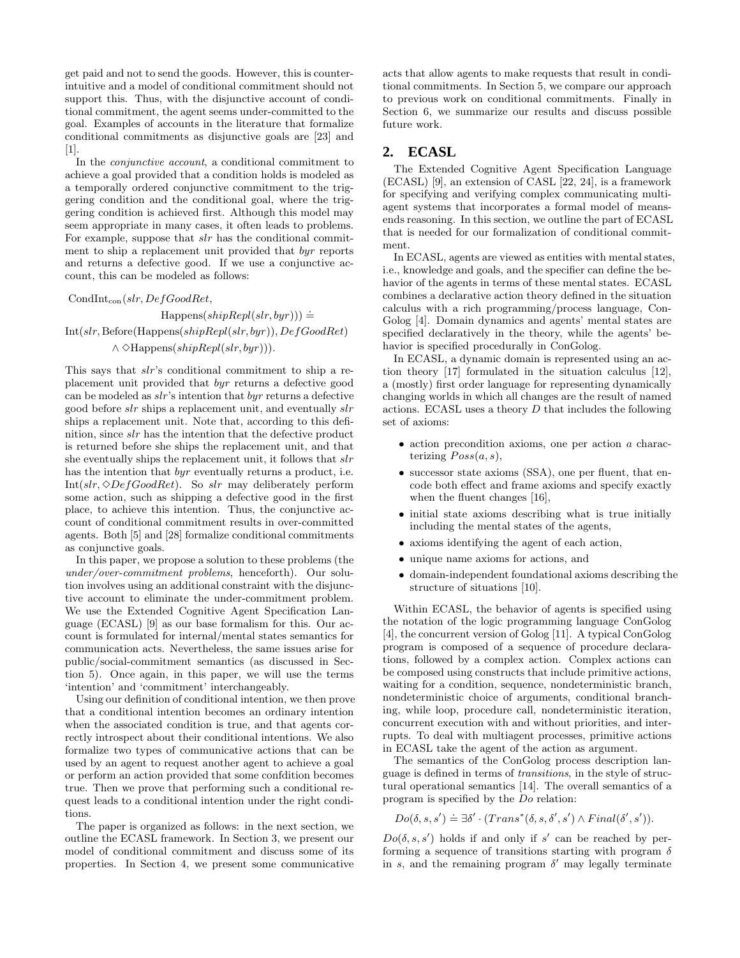get paid and not to send the goods. However, this is counterintuitive and a model of conditional commitment should not support this. Thus, with the disjunctive account of conditional commitment, the agent seems under-committed to the goal. Examples of accounts in the literature that formalize conditional commitments as disjunctive goals are [23] and [1].

In the conjunctive account, a conditional commitment to achieve a goal provided that a condition holds is modeled as a temporally ordered conjunctive commitment to the triggering condition and the conditional goal, where the triggering condition is achieved first. Although this model may seem appropriate in many cases, it often leads to problems. For example, suppose that  $slr$  has the conditional commitment to ship a replacement unit provided that byr reports and returns a defective good. If we use a conjunctive account, this can be modeled as follows:

#### CondInt<sub>con</sub>(slr, DefGoodRet,

# $Happens(shipRepl(slr, byr)) \doteq$  $Int(slr, Before (Happens(shipRep (slr, byr)), DefGood Ret)$  $\land \Diamond$ Happens(shipRepl(slr, byr))).

This says that slr's conditional commitment to ship a replacement unit provided that byr returns a defective good can be modeled as slr's intention that byr returns a defective good before slr ships a replacement unit, and eventually slr ships a replacement unit. Note that, according to this definition, since slr has the intention that the defective product is returned before she ships the replacement unit, and that she eventually ships the replacement unit, it follows that slr has the intention that byr eventually returns a product, i.e. Int( $slr$ ,  $\Diamond DefGoodRet$ ). So  $slr$  may deliberately perform some action, such as shipping a defective good in the first place, to achieve this intention. Thus, the conjunctive account of conditional commitment results in over-committed agents. Both [5] and [28] formalize conditional commitments as conjunctive goals.

In this paper, we propose a solution to these problems (the under/over-commitment problems, henceforth). Our solution involves using an additional constraint with the disjunctive account to eliminate the under-commitment problem. We use the Extended Cognitive Agent Specification Language (ECASL) [9] as our base formalism for this. Our account is formulated for internal/mental states semantics for communication acts. Nevertheless, the same issues arise for public/social-commitment semantics (as discussed in Section 5). Once again, in this paper, we will use the terms 'intention' and 'commitment' interchangeably.

Using our definition of conditional intention, we then prove that a conditional intention becomes an ordinary intention when the associated condition is true, and that agents correctly introspect about their conditional intentions. We also formalize two types of communicative actions that can be used by an agent to request another agent to achieve a goal or perform an action provided that some confdition becomes true. Then we prove that performing such a conditional request leads to a conditional intention under the right conditions.

The paper is organized as follows: in the next section, we outline the ECASL framework. In Section 3, we present our model of conditional commitment and discuss some of its properties. In Section 4, we present some communicative acts that allow agents to make requests that result in conditional commitments. In Section 5, we compare our approach to previous work on conditional commitments. Finally in Section 6, we summarize our results and discuss possible future work.

# **2. ECASL**

The Extended Cognitive Agent Specification Language (ECASL) [9], an extension of CASL [22, 24], is a framework for specifying and verifying complex communicating multiagent systems that incorporates a formal model of meansends reasoning. In this section, we outline the part of ECASL that is needed for our formalization of conditional commitment.

In ECASL, agents are viewed as entities with mental states, i.e., knowledge and goals, and the specifier can define the behavior of the agents in terms of these mental states. ECASL combines a declarative action theory defined in the situation calculus with a rich programming/process language, Con-Golog [4]. Domain dynamics and agents' mental states are specified declaratively in the theory, while the agents' behavior is specified procedurally in ConGolog.

In ECASL, a dynamic domain is represented using an action theory [17] formulated in the situation calculus [12], a (mostly) first order language for representing dynamically changing worlds in which all changes are the result of named actions. ECASL uses a theory D that includes the following set of axioms:

- action precondition axioms, one per action a characterizing  $Poss(a, s)$ ,
- successor state axioms (SSA), one per fluent, that encode both effect and frame axioms and specify exactly when the fluent changes [16],
- initial state axioms describing what is true initially including the mental states of the agents,
- axioms identifying the agent of each action,
- unique name axioms for actions, and
- domain-independent foundational axioms describing the structure of situations [10].

Within ECASL, the behavior of agents is specified using the notation of the logic programming language ConGolog [4], the concurrent version of Golog [11]. A typical ConGolog program is composed of a sequence of procedure declarations, followed by a complex action. Complex actions can be composed using constructs that include primitive actions, waiting for a condition, sequence, nondeterministic branch, nondeterministic choice of arguments, conditional branching, while loop, procedure call, nondeterministic iteration, concurrent execution with and without priorities, and interrupts. To deal with multiagent processes, primitive actions in ECASL take the agent of the action as argument.

The semantics of the ConGolog process description language is defined in terms of transitions, in the style of structural operational semantics [14]. The overall semantics of a program is specified by the Do relation:

$$
Do(\delta, s, s') \doteq \exists \delta' \cdot (Trans^*(\delta, s, \delta', s') \wedge Final(\delta', s')).
$$

 $Do(\delta, s, s')$  holds if and only if s' can be reached by performing a sequence of transitions starting with program  $\delta$ in s, and the remaining program  $\delta'$  may legally terminate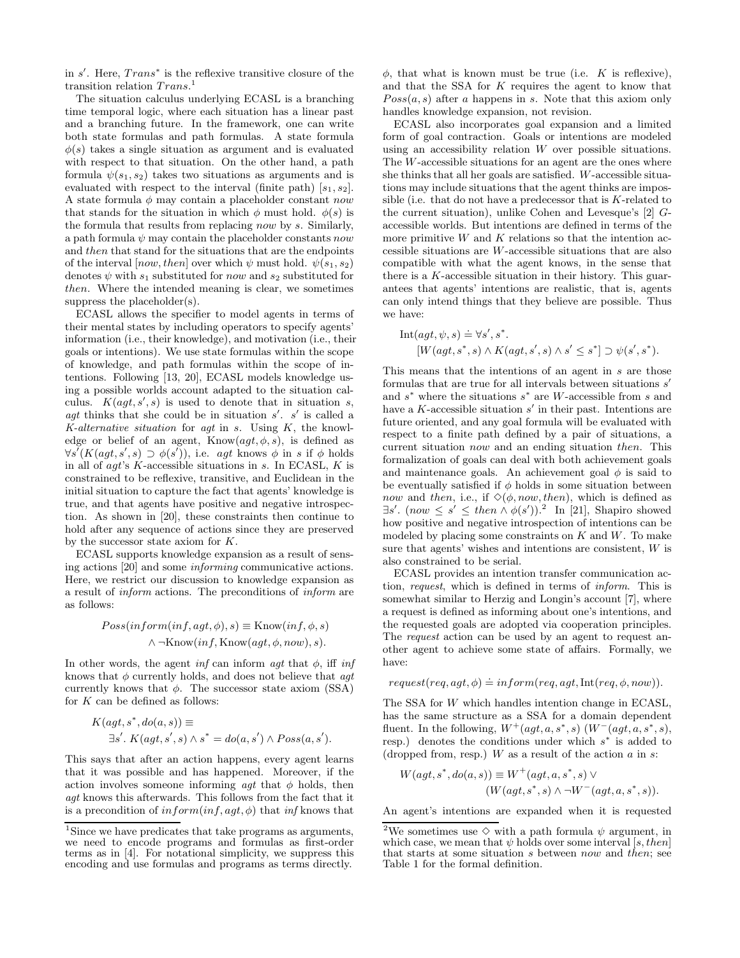in s'. Here, Trans<sup>∗</sup> is the reflexive transitive closure of the transition relation  $Trans.$ <sup>1</sup>

The situation calculus underlying ECASL is a branching time temporal logic, where each situation has a linear past and a branching future. In the framework, one can write both state formulas and path formulas. A state formula  $\phi(s)$  takes a single situation as argument and is evaluated with respect to that situation. On the other hand, a path formula  $\psi(s_1, s_2)$  takes two situations as arguments and is evaluated with respect to the interval (finite path)  $[s_1, s_2]$ . A state formula  $\phi$  may contain a placeholder constant now that stands for the situation in which  $\phi$  must hold.  $\phi(s)$  is the formula that results from replacing now by s. Similarly, a path formula  $\psi$  may contain the placeholder constants now and then that stand for the situations that are the endpoints of the interval  $[now, then]$  over which  $\psi$  must hold.  $\psi(s_1, s_2)$ denotes  $\psi$  with  $s_1$  substituted for now and  $s_2$  substituted for then. Where the intended meaning is clear, we sometimes suppress the placeholder(s).

ECASL allows the specifier to model agents in terms of their mental states by including operators to specify agents' information (i.e., their knowledge), and motivation (i.e., their goals or intentions). We use state formulas within the scope of knowledge, and path formulas within the scope of intentions. Following [13, 20], ECASL models knowledge using a possible worlds account adapted to the situation calculus.  $K(agt, s', s)$  is used to denote that in situation s, agt thinks that she could be in situation  $s'$ .  $s'$  is called a K-alternative situation for agt in s. Using  $K$ , the knowledge or belief of an agent,  $Know(agt, \phi, s)$ , is defined as  $\forall s' (Kagt, s', s) \supset \phi(s')),$  i.e. agt knows  $\phi$  in s if  $\phi$  holds in all of  $agt$ 's  $K$ -accessible situations in s. In ECASL,  $K$  is constrained to be reflexive, transitive, and Euclidean in the initial situation to capture the fact that agents' knowledge is true, and that agents have positive and negative introspection. As shown in [20], these constraints then continue to hold after any sequence of actions since they are preserved by the successor state axiom for K.

ECASL supports knowledge expansion as a result of sensing actions [20] and some informing communicative actions. Here, we restrict our discussion to knowledge expansion as a result of inform actions. The preconditions of inform are as follows:

$$
Poss(inform(inf,agt, \phi), s) \equiv \text{Know}(inf, \phi, s)
$$

$$
\land \neg \text{Know}(inf, \text{Know}(agt, \phi, now), s).
$$

In other words, the agent *inf* can inform *agt* that  $\phi$ , iff *inf* knows that  $\phi$  currently holds, and does not believe that *agt* currently knows that  $\phi$ . The successor state axiom (SSA) for  $K$  can be defined as follows:

$$
K(agt, s^*, do(a, s)) \equiv
$$
  
\n
$$
\exists s'. K(agt, s', s) \land s^* = do(a, s') \land Poss(a, s').
$$

This says that after an action happens, every agent learns that it was possible and has happened. Moreover, if the action involves someone informing *agt* that  $\phi$  holds, then agt knows this afterwards. This follows from the fact that it is a precondition of  $inform(inf, agt, \phi)$  that  $inf$  knows that  $\phi$ , that what is known must be true (i.e. K is reflexive), and that the SSA for K requires the agent to know that  $Poss(a, s)$  after a happens in s. Note that this axiom only handles knowledge expansion, not revision.

ECASL also incorporates goal expansion and a limited form of goal contraction. Goals or intentions are modeled using an accessibility relation  $W$  over possible situations. The W-accessible situations for an agent are the ones where she thinks that all her goals are satisfied. W-accessible situations may include situations that the agent thinks are impossible (i.e. that do not have a predecessor that is  $K$ -related to the current situation), unlike Cohen and Levesque's [2] Gaccessible worlds. But intentions are defined in terms of the more primitive  $W$  and  $K$  relations so that the intention accessible situations are W-accessible situations that are also compatible with what the agent knows, in the sense that there is a K-accessible situation in their history. This guarantees that agents' intentions are realistic, that is, agents can only intend things that they believe are possible. Thus we have:

Int
$$
(agt, \psi, s) \doteq \forall s', s^*
$$
.  
\n $[W(agt, s^*, s) \wedge K(agt, s', s) \wedge s' \leq s^*] \supset \psi(s', s^*)$ .

This means that the intentions of an agent in s are those formulas that are true for all intervals between situations  $s'$ and  $s^*$  where the situations  $s^*$  are W-accessible from  $s$  and have a  $K$ -accessible situation  $s'$  in their past. Intentions are future oriented, and any goal formula will be evaluated with respect to a finite path defined by a pair of situations, a current situation now and an ending situation then. This formalization of goals can deal with both achievement goals and maintenance goals. An achievement goal  $\phi$  is said to be eventually satisfied if  $\phi$  holds in some situation between now and then, i.e., if  $\Diamond(\phi, now, then)$ , which is defined as  $\exists s'. \text{ (now } \leq s' \leq \text{ then } \wedge \phi(s'))$ .<sup>2</sup> In [21], Shapiro showed how positive and negative introspection of intentions can be modeled by placing some constraints on  $K$  and  $W$ . To make sure that agents' wishes and intentions are consistent, W is also constrained to be serial.

ECASL provides an intention transfer communication action, request, which is defined in terms of inform. This is somewhat similar to Herzig and Longin's account [7], where a request is defined as informing about one's intentions, and the requested goals are adopted via cooperation principles. The request action can be used by an agent to request another agent to achieve some state of affairs. Formally, we have:

$$
request(req,agt, \phi) \doteq inform(req,agt,Int(req, \phi, now)).
$$

The SSA for W which handles intention change in ECASL, has the same structure as a SSA for a domain dependent fluent. In the following,  $W^+(agt, a, s^*, s)$   $(W^-(agt, a, s^*, s),$ resp.) denotes the conditions under which  $s^*$  is added to (dropped from, resp.) W as a result of the action  $a$  in  $s$ :

$$
W(agt, s^*, do(a, s)) \equiv W^+(agt, a, s^*, s) \vee
$$
  

$$
(W(agt, s^*, s) \wedge \neg W^-(agt, a, s^*, s)).
$$

An agent's intentions are expanded when it is requested

<sup>&</sup>lt;sup>1</sup>Since we have predicates that take programs as arguments, we need to encode programs and formulas as first-order terms as in [4]. For notational simplicity, we suppress this encoding and use formulas and programs as terms directly.

<sup>&</sup>lt;sup>2</sup>We sometimes use  $\diamond$  with a path formula  $\psi$  argument, in which case, we mean that  $\psi$  holds over some interval [s, then] that starts at some situation s between now and then; see Table 1 for the formal definition.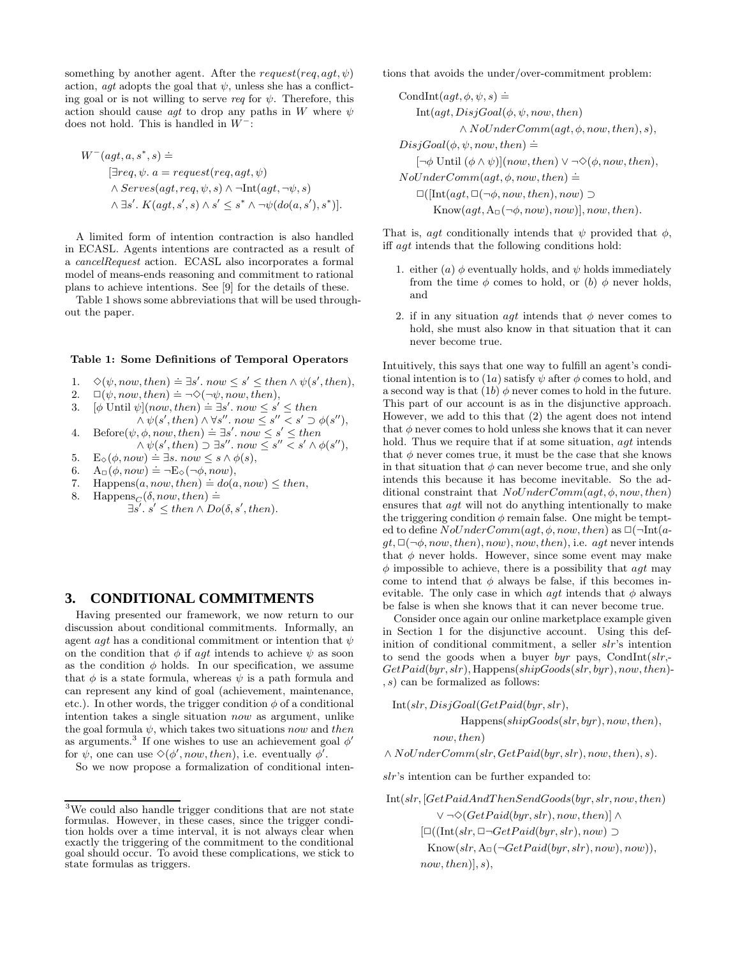something by another agent. After the request(req, aqt,  $\psi$ ) action, *agt* adopts the goal that  $\psi$ , unless she has a conflicting goal or is not willing to serve req for  $\psi$ . Therefore, this action should cause *agt* to drop any paths in W where  $\psi$ does not hold. This is handled in  $W^-$ :

$$
W^-(agt, a, s^*, s) \doteq
$$
  
\n
$$
[\exists reg, \psi. a = request(req, agt, \psi)
$$
  
\n
$$
\land \text{Serves}(agt, req, \psi, s) \land \neg \text{Int}(agt, \neg \psi, s)
$$
  
\n
$$
\land \exists s'. K(agt, s', s) \land s' \leq s^* \land \neg \psi(do(a, s'), s^*)].
$$

A limited form of intention contraction is also handled in ECASL. Agents intentions are contracted as a result of a cancelRequest action. ECASL also incorporates a formal model of means-ends reasoning and commitment to rational plans to achieve intentions. See [9] for the details of these.

Table 1 shows some abbreviations that will be used throughout the paper.

#### Table 1: Some Definitions of Temporal Operators

- 1.  $\Diamond(\psi, now, then) \doteq \exists s'. now \leq s' \leq then \land \psi(s', then),$
- 2.  $\square(\psi, now, then) \doteq \neg \diamondsuit(\neg \psi, now, then),$
- 3.  $\phi$  Until  $\psi$ ](now, then)  $\dot{=}$  3*s'*. now  $\leq$  *s'*  $\leq$  then
- $\overline{\wedge} \psi(s', then) \wedge \forall s''.\ now \leq s'' \leq s' \supset \phi(s''),$ 4. Before  $(\psi, \phi, now, then) \doteq \exists s' \cdot now \leq s' \leq then$
- $\overline{\wedge} \psi(s', then) \supset \exists s''. now \leq s'' \leq s' \wedge \phi(s''),$ 5.  $E_{\diamond}(\phi, now) \doteq \exists s. now \leq s \wedge \phi(s),$
- 6.  $\Delta_{\Box}(\phi, now) = \Box S \cdot now \leq S \wedge \phi$ <br>6.  $\Delta_{\Box}(\phi, now) \doteq \neg \mathbb{E}_{\Diamond}(\neg \phi, now),$
- 7. Happens(a, now, then)  $\dot{=}$  do(a, now)  $\leq$  then,
- 8. Happens $\alpha$ ,  $how, then$ ) = 0.<br>8. Happens<sub>C</sub>( $\delta$ , now, then) =  $\exists s'. s' \leq then \land Do(\delta, s', then).$

# **3. CONDITIONAL COMMITMENTS**

Having presented our framework, we now return to our discussion about conditional commitments. Informally, an agent *agt* has a conditional commitment or intention that  $\psi$ on the condition that  $\phi$  if agt intends to achieve  $\psi$  as soon as the condition  $\phi$  holds. In our specification, we assume that  $\phi$  is a state formula, whereas  $\psi$  is a path formula and can represent any kind of goal (achievement, maintenance, etc.). In other words, the trigger condition  $\phi$  of a conditional intention takes a single situation now as argument, unlike the goal formula  $\psi$ , which takes two situations now and then as arguments.<sup>3</sup> If one wishes to use an achievement goal  $\phi'$ for  $\psi$ , one can use  $\Diamond(\phi', now, then)$ , i.e. eventually  $\phi'$ .

So we now propose a formalization of conditional inten-

tions that avoids the under/over-commitment problem:

CondInt $(agt, \phi, \psi, s) \doteq$  $Int(agt, DisjGoal(\phi, \psi, now, then))$  $\wedge \text{NoUnderComm}(aqt, \phi, now, then), s),$  $DisjGoal(\phi, \psi, now, then) \doteq$  $[\neg \phi \text{ Until } (\phi \land \psi)](now, then) \lor \neg \Diamond(\phi, now, then),$  $NoUnderComm(agt, \phi, now, then) \doteq$  $\Box($ [Int(agt,  $\Box(\neg \phi, now, then), now)$ )  $Know(agt, A<sub>□</sub>(¬φ, now), now)], now, then).$ 

That is, *agt* conditionally intends that  $\psi$  provided that  $\phi$ , iff agt intends that the following conditions hold:

- 1. either (a)  $\phi$  eventually holds, and  $\psi$  holds immediately from the time  $\phi$  comes to hold, or (b)  $\phi$  never holds, and
- 2. if in any situation *agt* intends that  $\phi$  never comes to hold, she must also know in that situation that it can never become true.

Intuitively, this says that one way to fulfill an agent's conditional intention is to  $(1a)$  satisfy  $\psi$  after  $\phi$  comes to hold, and a second way is that  $(1b)$   $\phi$  never comes to hold in the future. This part of our account is as in the disjunctive approach. However, we add to this that (2) the agent does not intend that  $\phi$  never comes to hold unless she knows that it can never hold. Thus we require that if at some situation, *agt* intends that  $\phi$  never comes true, it must be the case that she knows in that situation that  $\phi$  can never become true, and she only intends this because it has become inevitable. So the additional constraint that  $NoUnderComm(agt, \phi, now, then)$ ensures that agt will not do anything intentionally to make the triggering condition  $\phi$  remain false. One might be tempted to define  $NoUnderComm(aqt, \phi, now, then)$  as  $\Box(\neg \text{Int}(a$  $gt, \Box(\neg \phi, now, then), now), now, then),$  i.e. agt never intends that  $\phi$  never holds. However, since some event may make  $\phi$  impossible to achieve, there is a possibility that *agt* may come to intend that  $\phi$  always be false, if this becomes inevitable. The only case in which *agt* intends that  $\phi$  always be false is when she knows that it can never become true.

Consider once again our online marketplace example given in Section 1 for the disjunctive account. Using this definition of conditional commitment, a seller slr's intention to send the goods when a buyer byr pays,  $\text{CondInt}(slr,+)$  $GetPaid(byr, slr)$ , Happens( $shipGoods(slr, byr)$ , now, then)-, s) can be formalized as follows:

 $Int(slr, DisjGoal(GetPaid(byr,slr),$ 

 $Happens(shipGoods (slr, byr), now, then),$ 

now, then)

 $\land \text{NoUnderComm}(slr, GetPaid(byr, slr),now, then), s).$ 

slr's intention can be further expanded to:

Int(slr, [GetPaidAndThenSendGoods(byr,slr, now, then)

 $\vee \neg \Diamond (GetPaid(byr, slr), now, then)] \wedge$ 

 $\Box((\mathrm{Int}(slr, \Box \neg GetPaul(byr,slr), now) \supset$ 

 $Know(slr, A<sub>□</sub>(¬GetPaid(byr, slr), now), now)),$  $now, then)], s),$ 

<sup>3</sup>We could also handle trigger conditions that are not state formulas. However, in these cases, since the trigger condition holds over a time interval, it is not always clear when exactly the triggering of the commitment to the conditional goal should occur. To avoid these complications, we stick to state formulas as triggers.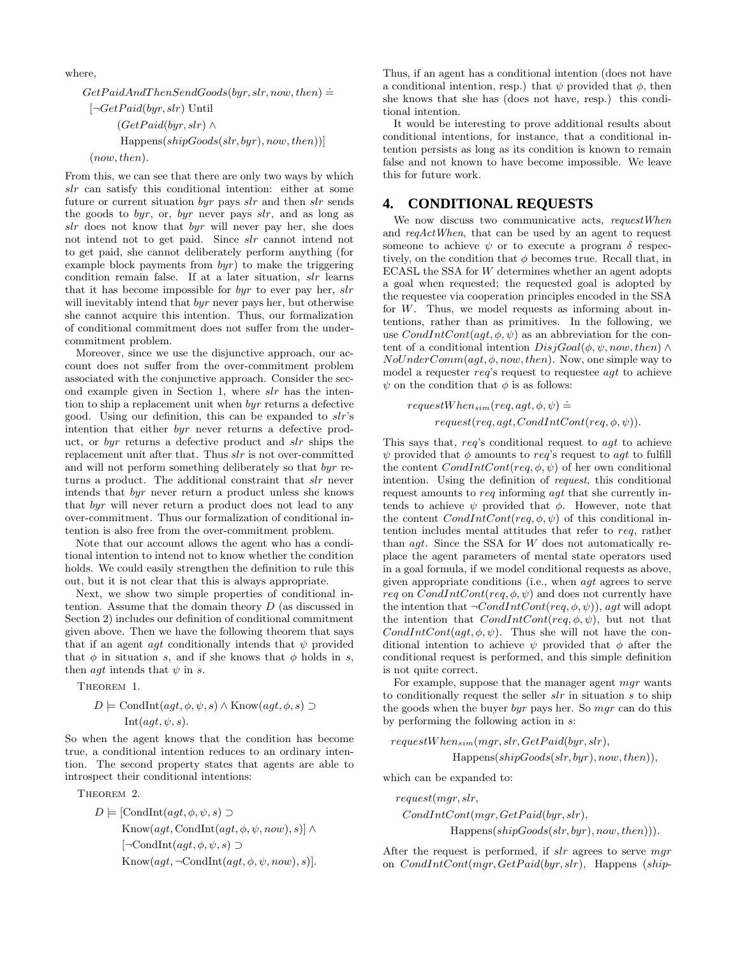where,

 $GetPaidAndThenSendGoods (byr, slr, now, then) \doteq$  $\neg GetPaid(byr, slr)$  Until  $(GetPaid(byr, slr) \wedge$  $Happens(shipGoods(slr, byr), now, then))$ (now, then).

From this, we can see that there are only two ways by which slr can satisfy this conditional intention: either at some future or current situation by pays slr and then slr sends the goods to byr, or, byr never pays  $slr$ , and as long as  $slr$  does not know that  $byr$  will never pay her, she does not intend not to get paid. Since slr cannot intend not to get paid, she cannot deliberately perform anything (for example block payments from  $byr$ ) to make the triggering condition remain false. If at a later situation, slr learns that it has become impossible for  $byr$  to ever pay her,  $slr$ will inevitably intend that *byr* never pays her, but otherwise she cannot acquire this intention. Thus, our formalization of conditional commitment does not suffer from the undercommitment problem.

Moreover, since we use the disjunctive approach, our account does not suffer from the over-commitment problem associated with the conjunctive approach. Consider the second example given in Section 1, where slr has the intention to ship a replacement unit when byr returns a defective good. Using our definition, this can be expanded to slr's intention that either byr never returns a defective product, or byr returns a defective product and slr ships the replacement unit after that. Thus slr is not over-committed and will not perform something deliberately so that byr returns a product. The additional constraint that  $slr$  never intends that byr never return a product unless she knows that byr will never return a product does not lead to any over-commitment. Thus our formalization of conditional intention is also free from the over-commitment problem.

Note that our account allows the agent who has a conditional intention to intend not to know whether the condition holds. We could easily strengthen the definition to rule this out, but it is not clear that this is always appropriate.

Next, we show two simple properties of conditional intention. Assume that the domain theory D (as discussed in Section 2) includes our definition of conditional commitment given above. Then we have the following theorem that says that if an agent *agt* conditionally intends that  $\psi$  provided that  $\phi$  in situation s, and if she knows that  $\phi$  holds in s, then *agt* intends that  $\psi$  in *s*.

THEOREM 1.

$$
D \models \text{CondInt}(agt, \phi, \psi, s) \land \text{Know}(agt, \phi, s) \supset
$$
  

$$
\text{Int}(agt, \psi, s).
$$

So when the agent knows that the condition has become true, a conditional intention reduces to an ordinary intention. The second property states that agents are able to introspect their conditional intentions:

THEOREM 2.

$$
D \models [Condlnt(agt, \phi, \psi, s) \supset
$$
  
Know(agt, CondInt(agt, \phi, \psi, now), s)]  $\land$   

$$
[\neg Condlnt(agt, \phi, \psi, s) \supset
$$
  
Know(agt,  $\neg Condlnt(agt, \phi, \psi, now), s)]$ .

Thus, if an agent has a conditional intention (does not have a conditional intention, resp.) that  $\psi$  provided that  $\phi$ , then she knows that she has (does not have, resp.) this conditional intention.

It would be interesting to prove additional results about conditional intentions, for instance, that a conditional intention persists as long as its condition is known to remain false and not known to have become impossible. We leave this for future work.

#### **4. CONDITIONAL REQUESTS**

We now discuss two communicative acts, request When and reqActWhen, that can be used by an agent to request someone to achieve  $\psi$  or to execute a program  $\delta$  respectively, on the condition that  $\phi$  becomes true. Recall that, in ECASL the SSA for W determines whether an agent adopts a goal when requested; the requested goal is adopted by the requestee via cooperation principles encoded in the SSA for W. Thus, we model requests as informing about intentions, rather than as primitives. In the following, we use  $CondlntCont(agt, \phi, \psi)$  as an abbreviation for the content of a conditional intention  $DisjGoal(\phi, \psi, now, then) \wedge$  $NoUnderComm(agt, \phi, now, then)$ . Now, one simple way to model a requester req's request to requestee *agt* to achieve  $\psi$  on the condition that  $\phi$  is as follows:

 $requestWhen_{sim}(req,agt, \phi, \psi) \doteq$  $request(req,agt,CondIntCont(req, \phi, \psi)).$ 

This says that, req's conditional request to agt to achieve  $\psi$  provided that  $\phi$  amounts to req's request to agt to fulfill the content  $CondIntCont(req, \phi, \psi)$  of her own conditional intention. Using the definition of request, this conditional request amounts to req informing agt that she currently intends to achieve  $\psi$  provided that  $\phi$ . However, note that the content  $CondIntCont(req, \phi, \psi)$  of this conditional intention includes mental attitudes that refer to req, rather than agt. Since the SSA for W does not automatically replace the agent parameters of mental state operators used in a goal formula, if we model conditional requests as above, given appropriate conditions (i.e., when agt agrees to serve req on  $CondlntCont(req, \phi, \psi)$  and does not currently have the intention that  $\neg CondIntCont(req, \phi, \psi)$ , agt will adopt the intention that  $CondlntCont(req, \phi, \psi)$ , but not that  $CondlntCont(agt, \phi, \psi)$ . Thus she will not have the conditional intention to achieve  $\psi$  provided that  $\phi$  after the conditional request is performed, and this simple definition is not quite correct.

For example, suppose that the manager agent mgr wants to conditionally request the seller  $slr$  in situation s to ship the goods when the buyer *byr* pays her. So  $\frac{m}{r}$  can do this by performing the following action in s:

 $requestWhen_{sim}(mqr,slr,GetPaid(byr,slr),$  $Happens(shipGoods(slr, byr), now, then)),$ 

which can be expanded to:

$$
request(mgr, slr, \\ CondIntCont(mgr, GetPaid (byr, slr), \\Happens(shipGoods (slr, byr), now, then))).
$$

After the request is performed, if  $slr$  agrees to serve  $mgr$ on  $CondIntCont(mgr,GetPaid(byr,slr),$  Happens (ship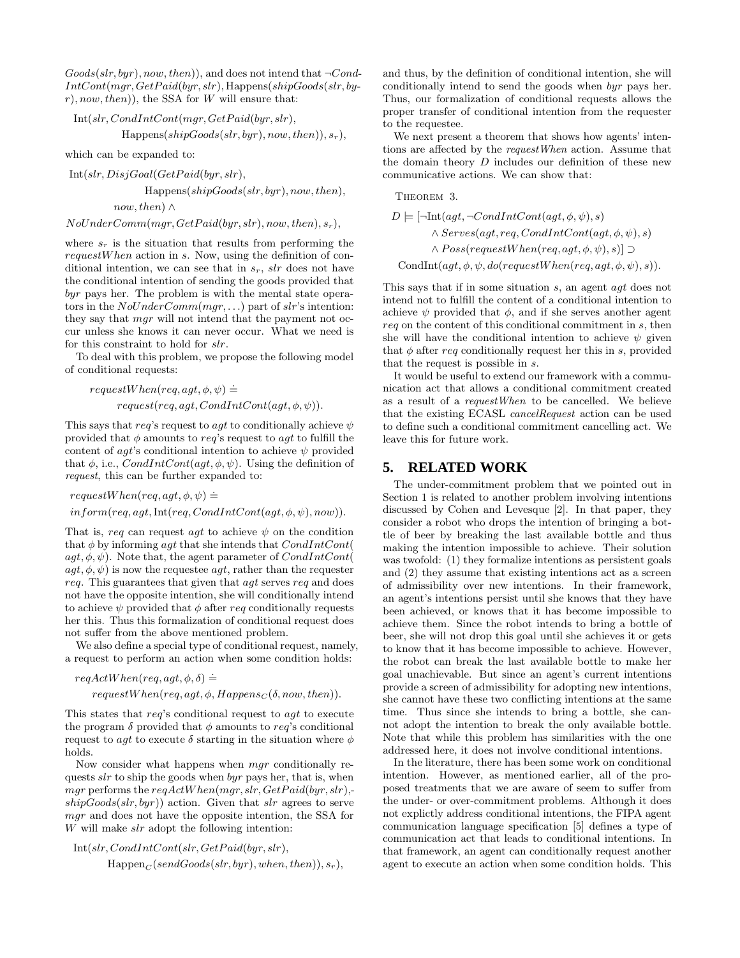$Goods(slr, byr), now, then)$ , and does not intend that  $\neg Cond$  $IntCont(mqr,GetPaid(byr, slr), Happens(shipGoods(slr, by$  $r$ , now, then), the SSA for W will ensure that:

$$
{\rm Int}(slr, CondIntCont(mgr, GetPaid(byr, slr),
$$

 $Happens(shipGoods(slr, byr), now, then)), s_r),$ 

which can be expanded to:

 $Int(slr, DisjGoal(GetPaid(byr,slr),$  $Happens(shipGoods (slr, byr), now, then),$ now, then) ∧

 $NoUnderComm(mqr, GetPaid(byr, slr), now, then), s_r),$ 

where  $s_r$  is the situation that results from performing the requestWhen action in s. Now, using the definition of conditional intention, we can see that in  $s_r$ ,  $slr$  does not have the conditional intention of sending the goods provided that byr pays her. The problem is with the mental state operators in the  $NoUnderComm(mgr, \ldots)$  part of  $slr$ 's intention: they say that mgr will not intend that the payment not occur unless she knows it can never occur. What we need is for this constraint to hold for slr.

To deal with this problem, we propose the following model of conditional requests:

 $requestWhen(req,agt, \phi, \psi) \doteq$  $request(req,agt,CondIntCont(aqt,\phi,\psi)).$ 

This says that req's request to agt to conditionally achieve  $\psi$ provided that  $\phi$  amounts to req's request to agt to fulfill the content of  $aqt$ 's conditional intention to achieve  $\psi$  provided that  $\phi$ , i.e.,  $CondIntCont(agt, \phi, \psi)$ . Using the definition of request, this can be further expanded to:

 $requestWhen(req,agt, \phi, \psi) \doteq$  $information (req, agt, Int (req, CondIntCont (agt, \phi, \psi), now)).$ 

That is, req can request agt to achieve  $\psi$  on the condition

that  $\phi$  by informing agt that she intends that  $CondlntCont$ agt,  $\phi, \psi$ ). Note that, the agent parameter of  $CondIntCont($  $agt, \phi, \psi$  is now the requestee *agt*, rather than the requester req. This guarantees that given that agt serves req and does not have the opposite intention, she will conditionally intend to achieve  $\psi$  provided that  $\phi$  after req conditionally requests her this. Thus this formalization of conditional request does not suffer from the above mentioned problem.

We also define a special type of conditional request, namely, a request to perform an action when some condition holds:

```
reqActWhen (req,agt, \phi, \delta) \doteqrequestWhen (req, aqt, \phi, Happens_C(\delta, now, then)).
```
This states that req's conditional request to agt to execute the program  $\delta$  provided that  $\phi$  amounts to req's conditional request to *agt* to execute  $\delta$  starting in the situation where  $\phi$ holds.

Now consider what happens when mgr conditionally requests slr to ship the goods when byr pays her, that is, when mgr performs the  $reqActWhen(mgr,slr, GetPaid(byr,slr),$  $shipGoods(slr, byr))$  action. Given that  $slr$  agrees to serve mgr and does not have the opposite intention, the SSA for W will make slr adopt the following intention:

 $Int(slr, CondIntCont(slr, GetPaid(byr, slr)),$  $Happen_{\mathcal{C}}(sendGoods(slr, byr), when, then)), s_r),$  and thus, by the definition of conditional intention, she will conditionally intend to send the goods when byr pays her. Thus, our formalization of conditional requests allows the proper transfer of conditional intention from the requester to the requestee.

We next present a theorem that shows how agents' intentions are affected by the requestWhen action. Assume that the domain theory D includes our definition of these new communicative actions. We can show that:

Theorem 3.

$$
D \models [\neg\text{Int}(agt, \neg\text{CondIntCont}(agt, \phi, \psi), s) \land Serves(agt, req, CondIntCont(agt, \phi, \psi), s) \land Poss(requestWhen(req,agt, \phi, \psi), s)] \supset \\ \text{CondInt}(agt, \phi, \psi, do(requestWhen(req,agt, \phi, \psi), s)).
$$

This says that if in some situation s, an agent agt does not intend not to fulfill the content of a conditional intention to achieve  $\psi$  provided that  $\phi$ , and if she serves another agent req on the content of this conditional commitment in s, then she will have the conditional intention to achieve  $\psi$  given that  $\phi$  after req conditionally request her this in s, provided that the request is possible in s.

It would be useful to extend our framework with a communication act that allows a conditional commitment created as a result of a requestWhen to be cancelled. We believe that the existing ECASL cancelRequest action can be used to define such a conditional commitment cancelling act. We leave this for future work.

### **5. RELATED WORK**

The under-commitment problem that we pointed out in Section 1 is related to another problem involving intentions discussed by Cohen and Levesque [2]. In that paper, they consider a robot who drops the intention of bringing a bottle of beer by breaking the last available bottle and thus making the intention impossible to achieve. Their solution was twofold: (1) they formalize intentions as persistent goals and (2) they assume that existing intentions act as a screen of admissibility over new intentions. In their framework, an agent's intentions persist until she knows that they have been achieved, or knows that it has become impossible to achieve them. Since the robot intends to bring a bottle of beer, she will not drop this goal until she achieves it or gets to know that it has become impossible to achieve. However, the robot can break the last available bottle to make her goal unachievable. But since an agent's current intentions provide a screen of admissibility for adopting new intentions, she cannot have these two conflicting intentions at the same time. Thus since she intends to bring a bottle, she cannot adopt the intention to break the only available bottle. Note that while this problem has similarities with the one addressed here, it does not involve conditional intentions.

In the literature, there has been some work on conditional intention. However, as mentioned earlier, all of the proposed treatments that we are aware of seem to suffer from the under- or over-commitment problems. Although it does not explictly address conditional intentions, the FIPA agent communication language specification [5] defines a type of communication act that leads to conditional intentions. In that framework, an agent can conditionally request another agent to execute an action when some condition holds. This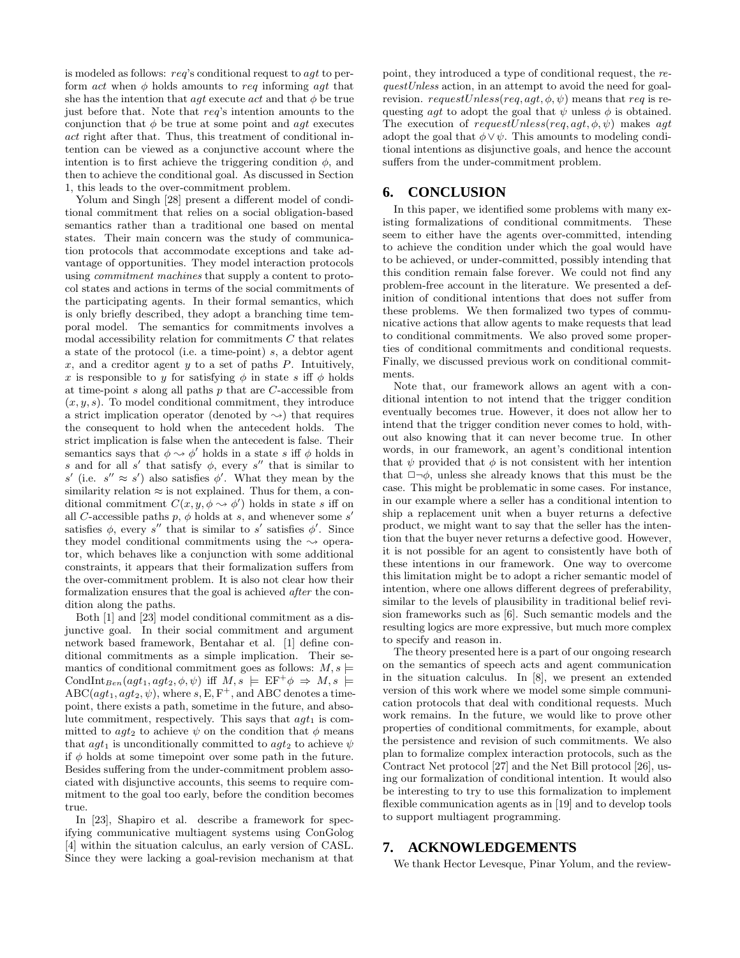is modeled as follows:  $req's$  conditional request to  $aqt$  to perform  $act$  when  $\phi$  holds amounts to req informing aqt that she has the intention that *agt* execute act and that  $\phi$  be true just before that. Note that req's intention amounts to the conjunction that  $\phi$  be true at some point and *agt* executes act right after that. Thus, this treatment of conditional intention can be viewed as a conjunctive account where the intention is to first achieve the triggering condition  $\phi$ , and then to achieve the conditional goal. As discussed in Section 1, this leads to the over-commitment problem.

Yolum and Singh [28] present a different model of conditional commitment that relies on a social obligation-based semantics rather than a traditional one based on mental states. Their main concern was the study of communication protocols that accommodate exceptions and take advantage of opportunities. They model interaction protocols using commitment machines that supply a content to protocol states and actions in terms of the social commitments of the participating agents. In their formal semantics, which is only briefly described, they adopt a branching time temporal model. The semantics for commitments involves a modal accessibility relation for commitments  $C$  that relates a state of the protocol (i.e. a time-point) s, a debtor agent  $x$ , and a creditor agent  $y$  to a set of paths  $P$ . Intuitively, x is responsible to y for satisfying  $\phi$  in state s iff  $\phi$  holds at time-point  $s$  along all paths  $p$  that are  $C$ -accessible from  $(x, y, s)$ . To model conditional commitment, they introduce a strict implication operator (denoted by  $\sim$ ) that requires the consequent to hold when the antecedent holds. The strict implication is false when the antecedent is false. Their semantics says that  $\phi \leadsto \phi'$  holds in a state s iff  $\phi$  holds in s and for all s' that satisfy  $\phi$ , every s'' that is similar to s' (i.e.  $s'' \approx s'$ ) also satisfies  $\phi'$ . What they mean by the similarity relation  $\approx$  is not explained. Thus for them, a conditional commitment  $C(x, y, \phi \leadsto \phi')$  holds in state s iff on all C-accessible paths  $p, \phi$  holds at s, and whenever some s' satisfies  $\phi$ , every s'' that is similar to s' satisfies  $\phi'$ . Since they model conditional commitments using the  $\sim$  operator, which behaves like a conjunction with some additional constraints, it appears that their formalization suffers from the over-commitment problem. It is also not clear how their formalization ensures that the goal is achieved *after* the condition along the paths.

Both [1] and [23] model conditional commitment as a disjunctive goal. In their social commitment and argument network based framework, Bentahar et al. [1] define conditional commitments as a simple implication. Their semantics of conditional commitment goes as follows:  $M, s \models$ CondInt<sub>Ben</sub>(agt<sub>1</sub>, agt<sub>2</sub>,  $\phi$ ,  $\psi$ ) iff  $M, s \models$  EF<sup>+</sup> $\phi \Rightarrow M, s \models$  $\text{ABC}(agt_1,agt_2, \psi)$ , where s, E, F<sup>+</sup>, and ABC denotes a timepoint, there exists a path, sometime in the future, and absolute commitment, respectively. This says that  $aqt_1$  is committed to  $agt_2$  to achieve  $\psi$  on the condition that  $\phi$  means that  $agt_1$  is unconditionally committed to  $agt_2$  to achieve  $\psi$ if  $\phi$  holds at some timepoint over some path in the future. Besides suffering from the under-commitment problem associated with disjunctive accounts, this seems to require commitment to the goal too early, before the condition becomes true.

In [23], Shapiro et al. describe a framework for specifying communicative multiagent systems using ConGolog [4] within the situation calculus, an early version of CASL. Since they were lacking a goal-revision mechanism at that point, they introduced a type of conditional request, the request Unless action, in an attempt to avoid the need for goalrevision. requestUnless(req, aqt,  $\phi$ ,  $\psi$ ) means that req is requesting *agt* to adopt the goal that  $\psi$  unless  $\phi$  is obtained. The execution of  $requestUnless(req,agt, \phi, \psi)$  makes agt adopt the goal that  $\phi \vee \psi$ . This amounts to modeling conditional intentions as disjunctive goals, and hence the account suffers from the under-commitment problem.

# **6. CONCLUSION**

In this paper, we identified some problems with many existing formalizations of conditional commitments. These seem to either have the agents over-committed, intending to achieve the condition under which the goal would have to be achieved, or under-committed, possibly intending that this condition remain false forever. We could not find any problem-free account in the literature. We presented a definition of conditional intentions that does not suffer from these problems. We then formalized two types of communicative actions that allow agents to make requests that lead to conditional commitments. We also proved some properties of conditional commitments and conditional requests. Finally, we discussed previous work on conditional commitments.

Note that, our framework allows an agent with a conditional intention to not intend that the trigger condition eventually becomes true. However, it does not allow her to intend that the trigger condition never comes to hold, without also knowing that it can never become true. In other words, in our framework, an agent's conditional intention that  $\psi$  provided that  $\phi$  is not consistent with her intention that  $\Box \neg \phi$ , unless she already knows that this must be the case. This might be problematic in some cases. For instance, in our example where a seller has a conditional intention to ship a replacement unit when a buyer returns a defective product, we might want to say that the seller has the intention that the buyer never returns a defective good. However, it is not possible for an agent to consistently have both of these intentions in our framework. One way to overcome this limitation might be to adopt a richer semantic model of intention, where one allows different degrees of preferability, similar to the levels of plausibility in traditional belief revision frameworks such as [6]. Such semantic models and the resulting logics are more expressive, but much more complex to specify and reason in.

The theory presented here is a part of our ongoing research on the semantics of speech acts and agent communication in the situation calculus. In [8], we present an extended version of this work where we model some simple communication protocols that deal with conditional requests. Much work remains. In the future, we would like to prove other properties of conditional commitments, for example, about the persistence and revision of such commitments. We also plan to formalize complex interaction protocols, such as the Contract Net protocol [27] and the Net Bill protocol [26], using our formalization of conditional intention. It would also be interesting to try to use this formalization to implement flexible communication agents as in [19] and to develop tools to support multiagent programming.

#### **7. ACKNOWLEDGEMENTS**

We thank Hector Levesque, Pinar Yolum, and the review-